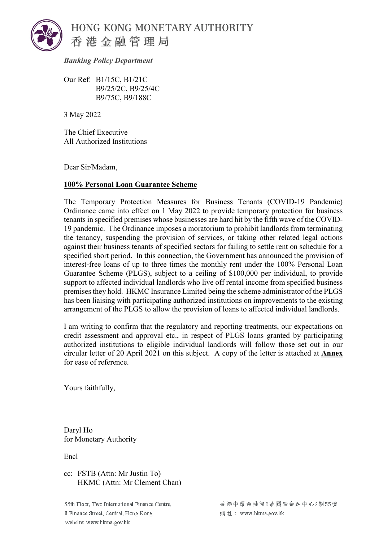

*Banking Policy Department* 

Our Ref: B1/15C, B1/21C B9/25/2C, B9/25/4C B9/75C, B9/188C

3 May 2022

The Chief Executive All Authorized Institutions

Dear Sir/Madam,

#### **100% Personal Loan Guarantee Scheme**

The Temporary Protection Measures for Business Tenants (COVID-19 Pandemic) Ordinance came into effect on 1 May 2022 to provide temporary protection for business tenants in specified premises whose businesses are hard hit by the fifth wave of the COVID-19 pandemic. The Ordinance imposes a moratorium to prohibit landlords from terminating the tenancy, suspending the provision of services, or taking other related legal actions against their business tenants of specified sectors for failing to settle rent on schedule for a specified short period. In this connection, the Government has announced the provision of interest-free loans of up to three times the monthly rent under the 100% Personal Loan Guarantee Scheme (PLGS), subject to a ceiling of \$100,000 per individual, to provide support to affected individual landlords who live off rental income from specified business premises they hold. HKMC Insurance Limited being the scheme administrator of the PLGS has been liaising with participating authorized institutions on improvements to the existing arrangement of the PLGS to allow the provision of loans to affected individual landlords.

I am writing to confirm that the regulatory and reporting treatments, our expectations on credit assessment and approval etc., in respect of PLGS loans granted by participating authorized institutions to eligible individual landlords will follow those set out in our circular letter of 20 April 2021 on this subject. A copy of the letter is attached at **Annex** for ease of reference.

Yours faithfully,

Daryl Ho for Monetary Authority

Encl

cc: FSTB (Attn: Mr Justin To) HKMC (Attn: Mr Clement Chan)

55th Floor, Two International Finance Centre, 8 Finance Street, Central, Hong Kong Website: www.hkma.gov.hk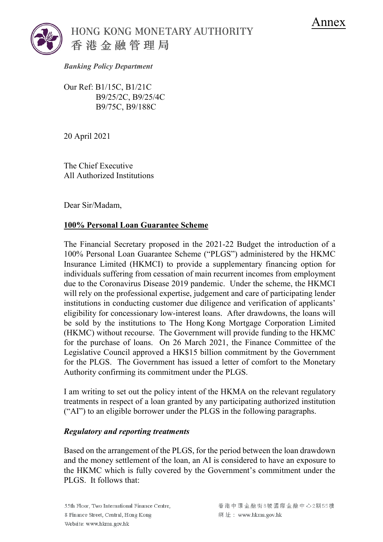Annex

HONG KONG MONETARY AUTHORITY 香港金融管理局

*Banking Policy Department* 

Our Ref: B1/15C, B1/21C B9/25/2C, B9/25/4C B9/75C, B9/188C

20 April 2021

The Chief Executive All Authorized Institutions

Dear Sir/Madam,

# **100% Personal Loan Guarantee Scheme**

The Financial Secretary proposed in the 2021-22 Budget the introduction of a 100% Personal Loan Guarantee Scheme ("PLGS") administered by the HKMC Insurance Limited (HKMCI) to provide a supplementary financing option for individuals suffering from cessation of main recurrent incomes from employment due to the Coronavirus Disease 2019 pandemic. Under the scheme, the HKMCI will rely on the professional expertise, judgement and care of participating lender institutions in conducting customer due diligence and verification of applicants' eligibility for concessionary low-interest loans. After drawdowns, the loans will be sold by the institutions to The Hong Kong Mortgage Corporation Limited (HKMC) without recourse. The Government will provide funding to the HKMC for the purchase of loans. On 26 March 2021, the Finance Committee of the Legislative Council approved a HK\$15 billion commitment by the Government for the PLGS. The Government has issued a letter of comfort to the Monetary Authority confirming its commitment under the PLGS.

I am writing to set out the policy intent of the HKMA on the relevant regulatory treatments in respect of a loan granted by any participating authorized institution ("AI") to an eligible borrower under the PLGS in the following paragraphs.

## *Regulatory and reporting treatments*

Based on the arrangement of the PLGS, for the period between the loan drawdown and the money settlement of the loan, an AI is considered to have an exposure to the HKMC which is fully covered by the Government's commitment under the PLGS. It follows that: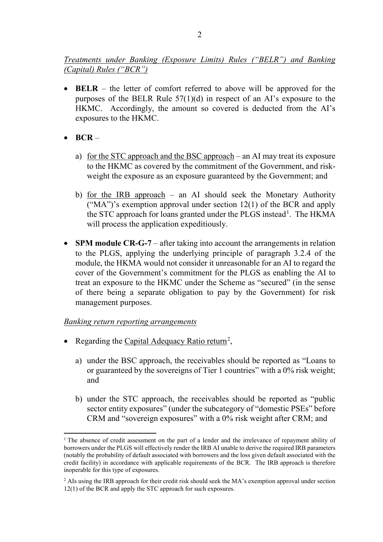*Treatments under Banking (Exposure Limits) Rules ("BELR") and Banking (Capital) Rules ("BCR")*

- **BELR** the letter of comfort referred to above will be approved for the purposes of the BELR Rule 57(1)(d) in respect of an AI's exposure to the HKMC. Accordingly, the amount so covered is deducted from the AI's exposures to the HKMC.
- **BCR**
	- a) for the STC approach and the BSC approach an AI may treat its exposure to the HKMC as covered by the commitment of the Government, and riskweight the exposure as an exposure guaranteed by the Government; and
	- b) for the IRB approach an AI should seek the Monetary Authority ("MA")'s exemption approval under section 12(1) of the BCR and apply the STC approach for loans granted under the PLGS instead<sup>[1](#page-2-0)</sup>. The HKMA will process the application expeditiously.
- **SPM module CR-G-7** after taking into account the arrangements in relation to the PLGS, applying the underlying principle of paragraph 3.2.4 of the module, the HKMA would not consider it unreasonable for an AI to regard the cover of the Government's commitment for the PLGS as enabling the AI to treat an exposure to the HKMC under the Scheme as "secured" (in the sense of there being a separate obligation to pay by the Government) for risk management purposes.

#### *Banking return reporting arrangements*

- Regarding the Capital Adequacy Ratio return<sup>[2](#page-2-1)</sup>,
	- a) under the BSC approach, the receivables should be reported as "Loans to or guaranteed by the sovereigns of Tier 1 countries" with a 0% risk weight; and
	- b) under the STC approach, the receivables should be reported as "public sector entity exposures" (under the subcategory of "domestic PSEs" before CRM and "sovereign exposures" with a 0% risk weight after CRM; and

<span id="page-2-0"></span> $\overline{a}$ <sup>1</sup> The absence of credit assessment on the part of a lender and the irrelevance of repayment ability of borrowers under the PLGS will effectively render the IRB AI unable to derive the required IRB parameters (notably the probability of default associated with borrowers and the loss given default associated with the credit facility) in accordance with applicable requirements of the BCR. The IRB approach is therefore inoperable for this type of exposures.

<span id="page-2-1"></span><sup>&</sup>lt;sup>2</sup> AIs using the IRB approach for their credit risk should seek the MA's exemption approval under section 12(1) of the BCR and apply the STC approach for such exposures.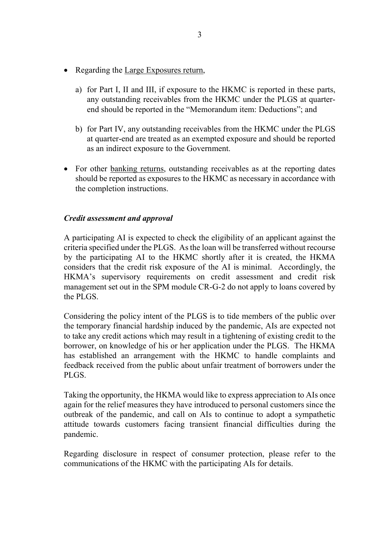- Regarding the Large Exposures return,
	- a) for Part I, II and III, if exposure to the HKMC is reported in these parts, any outstanding receivables from the HKMC under the PLGS at quarterend should be reported in the "Memorandum item: Deductions"; and
	- b) for Part IV, any outstanding receivables from the HKMC under the PLGS at quarter-end are treated as an exempted exposure and should be reported as an indirect exposure to the Government.
- For other banking returns, outstanding receivables as at the reporting dates should be reported as exposures to the HKMC as necessary in accordance with the completion instructions.

### *Credit assessment and approval*

A participating AI is expected to check the eligibility of an applicant against the criteria specified under the PLGS. As the loan will be transferred without recourse by the participating AI to the HKMC shortly after it is created, the HKMA considers that the credit risk exposure of the AI is minimal. Accordingly, the HKMA's supervisory requirements on credit assessment and credit risk management set out in the SPM module CR-G-2 do not apply to loans covered by the PLGS.

Considering the policy intent of the PLGS is to tide members of the public over the temporary financial hardship induced by the pandemic, AIs are expected not to take any credit actions which may result in a tightening of existing credit to the borrower, on knowledge of his or her application under the PLGS. The HKMA has established an arrangement with the HKMC to handle complaints and feedback received from the public about unfair treatment of borrowers under the PLGS.

Taking the opportunity, the HKMA would like to express appreciation to AIs once again for the relief measures they have introduced to personal customers since the outbreak of the pandemic, and call on AIs to continue to adopt a sympathetic attitude towards customers facing transient financial difficulties during the pandemic.

Regarding disclosure in respect of consumer protection, please refer to the communications of the HKMC with the participating AIs for details.